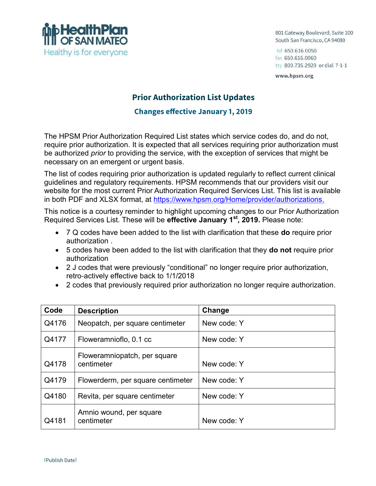

801 Gateway Boulevard, Suite 100 South San Francisco, CA 94080

tel 650.616.0050 fax 650.616.0060 tty 800.735.2929 or dial 7-1-1

www.hpsm.org

## **Prior Authorization List Updates**

## **Changes effective January 1, 2019**

The HPSM Prior Authorization Required List states which service codes do, and do not, require prior authorization. It is expected that all services requiring prior authorization must be authorized *prior* to providing the service, with the exception of services that might be necessary on an emergent or urgent basis.

The list of codes requiring prior authorization is updated regularly to reflect current clinical guidelines and regulatory requirements. HPSM recommends that our providers visit our website for the most current Prior Authorization Required Services List. This list is available in both PDF and XLSX format, at https://www.hpsm.org/Home/provider/authorizations.

This notice is a courtesy reminder to highlight upcoming changes to our Prior Authorization Required Services List. These will be **effective January 1 st, 2019.** Please note:

- 7 Q codes have been added to the list with clarification that these **do** require prior authorization .
- 5 codes have been added to the list with clarification that they **do not** require prior authorization
- 2 J codes that were previously "conditional" no longer require prior authorization, retro-actively effective back to 1/1/2018
- 2 codes that previously required prior authorization no longer require authorization.

| Code  | <b>Description</b>                         | Change      |
|-------|--------------------------------------------|-------------|
| Q4176 | Neopatch, per square centimeter            | New code: Y |
| Q4177 | Floweramnioflo, 0.1 cc                     | New code: Y |
| Q4178 | Floweramniopatch, per square<br>centimeter | New code: Y |
| Q4179 | Flowerderm, per square centimeter          | New code: Y |
| Q4180 | Revita, per square centimeter              | New code: Y |
| Q4181 | Amnio wound, per square<br>centimeter      | New code: Y |